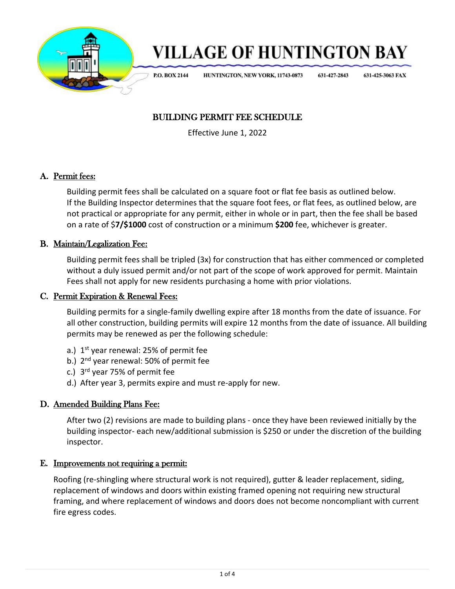

# **VILLAGE OF HUNTINGTON BAY**

**P.O. BOX 2144** 

HUNTINGTON, NEW YORK, 11743-0873

631-427-2843 631-425-3063 FAX

## BUILDING PERMIT FEE SCHEDULE

Effective June 1, 2022

#### A. Permit fees:

Building permit fees shall be calculated on a square foot or flat fee basis as outlined below. If the Building Inspector determines that the square foot fees, or flat fees, as outlined below, are not practical or appropriate for any permit, either in whole or in part, then the fee shall be based on a rate of \$**7/\$1000** cost of construction or a minimum **\$200** fee, whichever is greater.

#### B. Maintain/Legalization Fee:

Building permit fees shall be tripled (3x) for construction that has either commenced or completed without a duly issued permit and/or not part of the scope of work approved for permit. Maintain Fees shall not apply for new residents purchasing a home with prior violations.

#### C. Permit Expiration & Renewal Fees:

Building permits for a single-family dwelling expire after 18 months from the date of issuance. For all other construction, building permits will expire 12 months from the date of issuance. All building permits may be renewed as per the following schedule:

- a.)  $1<sup>st</sup>$  year renewal: 25% of permit fee
- b.) 2<sup>nd</sup> year renewal: 50% of permit fee
- c.)  $3<sup>rd</sup>$  year 75% of permit fee
- d.) After year 3, permits expire and must re-apply for new.

#### D. Amended Building Plans Fee:

After two (2) revisions are made to building plans - once they have been reviewed initially by the building inspector- each new/additional submission is \$250 or under the discretion of the building inspector.

#### E. Improvements not requiring a permit:

Roofing (re-shingling where structural work is not required), gutter & leader replacement, siding, replacement of windows and doors within existing framed opening not requiring new structural framing, and where replacement of windows and doors does not become noncompliant with current fire egress codes.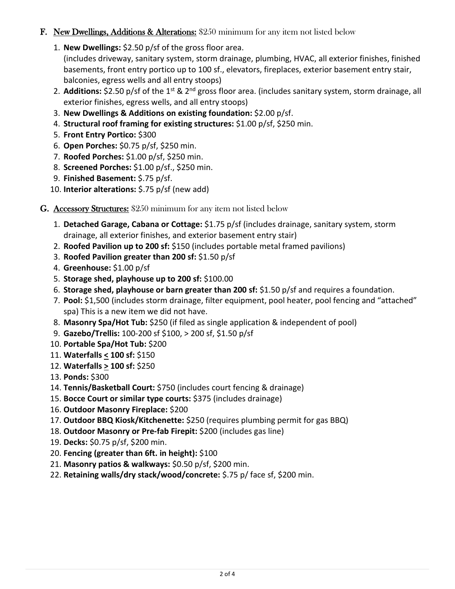#### F. New Dwellings, Additions & Alterations: \$250 minimum for any item not listed below

1. **New Dwellings:** \$2.50 p/sf of the gross floor area.

(includes driveway, sanitary system, storm drainage, plumbing, HVAC, all exterior finishes, finished basements, front entry portico up to 100 sf., elevators, fireplaces, exterior basement entry stair, balconies, egress wells and all entry stoops)

- 2. Additions: \$2.50 p/sf of the 1<sup>st</sup> & 2<sup>nd</sup> gross floor area. (includes sanitary system, storm drainage, all exterior finishes, egress wells, and all entry stoops)
- 3. **New Dwellings & Additions on existing foundation:** \$2.00 p/sf.
- 4. **Structural roof framing for existing structures:** \$1.00 p/sf, \$250 min.
- 5. **Front Entry Portico:** \$300
- 6. **Open Porches:** \$0.75 p/sf, \$250 min.
- 7. **Roofed Porches:** \$1.00 p/sf, \$250 min.
- 8. **Screened Porches:** \$1.00 p/sf., \$250 min.
- 9. **Finished Basement:** \$.75 p/sf.
- 10. **Interior alterations:** \$.75 p/sf (new add)
- G. Accessory Structures: \$250 minimum for any item not listed below
	- 1. **Detached Garage, Cabana or Cottage:** \$1.75 p/sf (includes drainage, sanitary system, storm drainage, all exterior finishes, and exterior basement entry stair)
	- 2. **Roofed Pavilion up to 200 sf:** \$150 (includes portable metal framed pavilions)
	- 3. **Roofed Pavilion greater than 200 sf:** \$1.50 p/sf
	- 4. **Greenhouse:** \$1.00 p/sf
	- 5. **Storage shed, playhouse up to 200 sf:** \$100.00
	- 6. **Storage shed, playhouse or barn greater than 200 sf:** \$1.50 p/sf and requires a foundation.
	- 7. **Pool:** \$1,500 (includes storm drainage, filter equipment, pool heater, pool fencing and "attached" spa) This is a new item we did not have.
	- 8. **Masonry Spa/Hot Tub:** \$250 (if filed as single application & independent of pool)
	- 9. **Gazebo/Trellis:** 100-200 sf \$100, > 200 sf, \$1.50 p/sf
	- 10. **Portable Spa/Hot Tub:** \$200
	- 11. **Waterfalls < 100 sf:** \$150
	- 12. **Waterfalls > 100 sf:** \$250
	- 13. **Ponds:** \$300
	- 14. **Tennis/Basketball Court:** \$750 (includes court fencing & drainage)
	- 15. **Bocce Court or similar type courts:** \$375 (includes drainage)
	- 16. **Outdoor Masonry Fireplace:** \$200
	- 17. **Outdoor BBQ Kiosk/Kitchenette:** \$250 (requires plumbing permit for gas BBQ)
	- 18. **Outdoor Masonry or Pre-fab Firepit:** \$200 (includes gas line)
	- 19. **Decks:** \$0.75 p/sf, \$200 min.
	- 20. **Fencing (greater than 6ft. in height):** \$100
	- 21. **Masonry patios & walkways:** \$0.50 p/sf, \$200 min.
	- 22. **Retaining walls/dry stack/wood/concrete:** \$.75 p/ face sf, \$200 min.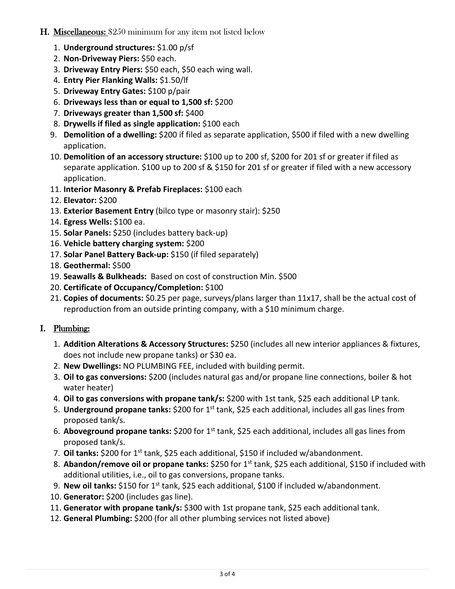#### **H. Miscellaneous: \$250 minimum for any item not listed below**

- 1. **Underground structures:** \$1.00 p/sf
- 2. **Non-Driveway Piers:** \$50 each.
- 3. **Driveway Entry Piers:** \$50 each, \$50 each wing wall.
- 4. **Entry Pier Flanking Walls:** \$1.50/lf
- 5. **Driveway Entry Gates:** \$100 p/pair
- 6. **Driveways less than or equal to 1,500 sf:** \$200
- 7. **Driveways greater than 1,500 sf:** \$400
- 8. **Drywells if filed as single application:** \$100 each
- 9. **Demolition of a dwelling:** \$200 if filed as separate application, \$500 if filed with a new dwelling application.
- 10. **Demolition of an accessory structure:** \$100 up to 200 sf, \$200 for 201 sf or greater if filed as separate application. \$100 up to 200 sf & \$150 for 201 sf or greater if filed with a new accessory application.
- 11. **Interior Masonry & Prefab Fireplaces:** \$100 each
- 12. **Elevator:** \$200
- 13. **Exterior Basement Entry** (bilco type or masonry stair): \$250
- 14. **Egress Wells:** \$100 ea.
- 15. **Solar Panels:** \$250 (includes battery back-up)
- 16. **Vehicle battery charging system:** \$200
- 17. **Solar Panel Battery Back-up:** \$150 (if filed separately)
- 18. **Geothermal:** \$500
- 19. **Seawalls & Bulkheads:** Based on cost of construction Min. \$500
- 20. **Certificate of Occupancy/Completion:** \$100
- 21. **Copies of documents:** \$0.25 per page, surveys/plans larger than 11x17, shall be the actual cost of reproduction from an outside printing company, with a \$10 minimum charge.

#### I. Plumbing:

- 1. **Addition Alterations & Accessory Structures:** \$250 (includes all new interior appliances & fixtures, does not include new propane tanks) or \$30 ea.
- 2. **New Dwellings:** NO PLUMBING FEE, included with building permit.
- 3. **Oil to gas conversions:** \$200 (includes natural gas and/or propane line connections, boiler & hot water heater)
- 4. **Oil to gas conversions with propane tank/s:** \$200 with 1st tank, \$25 each additional LP tank.
- 5. **Underground propane tanks:** \$200 for 1st tank, \$25 each additional, includes all gas lines from proposed tank/s.
- 6. **Aboveground propane tanks:** \$200 for 1st tank, \$25 each additional, includes all gas lines from proposed tank/s.
- 7. Oil tanks: \$200 for 1<sup>st</sup> tank, \$25 each additional, \$150 if included w/abandonment.
- 8. **Abandon/remove oil or propane tanks:** \$250 for 1st tank, \$25 each additional, \$150 if included with additional utilities, i.e., oil to gas conversions, propane tanks.
- 9. **New oil tanks:** \$150 for 1<sup>st</sup> tank, \$25 each additional, \$100 if included w/abandonment.
- 10. **Generator:** \$200 (includes gas line).
- 11. **Generator with propane tank/s:** \$300 with 1st propane tank, \$25 each additional tank.
- 12. **General Plumbing:** \$200 (for all other plumbing services not listed above)